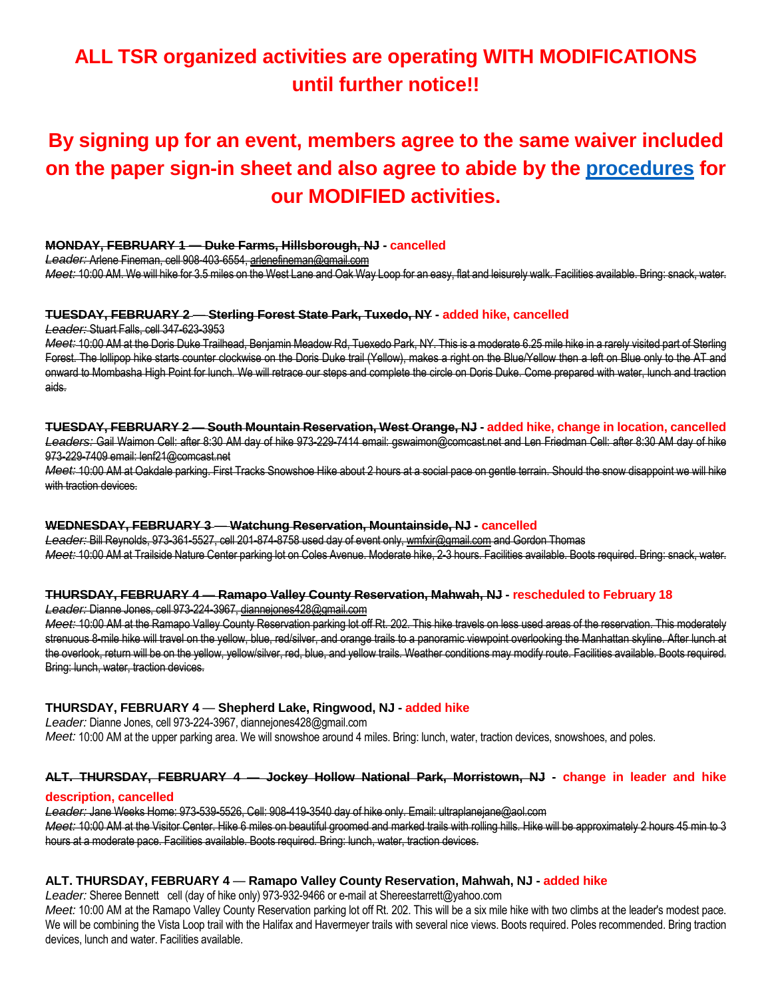# **ALL TSR organized activities are operating WITH MODIFICATIONS until further notice!!**

# **By signing up for an event, members agree to the same waiver included on the paper sign-in sheet and also agree to abide by the [procedures](https://5a563b5d-c9a2-443f-a97b-1fb65c38494e.usrfiles.com/ugd/5a563b_c4edec927985401797627aaf6c0458c8.pdf) for our MODIFIED activities.**

## **MONDAY, FEBRUARY 1** *—* **Duke Farms, Hillsborough, NJ - cancelled**

*Leader:* Arlene Fineman, cell 908-403-6554, arlenefineman@gmail.com

*Meet:* 10:00 AM. We will hike for 3.5 miles on the West Lane and Oak Way Loop for an easy, flat and leisurely walk. Facilities available. Bring: snack, water.

#### **TUESDAY, FEBRUARY 2** *—* **Sterling Forest State Park, Tuxedo, NY - added hike, cancelled**

*Leader:* Stuart Falls, cell 347-623-3953

*Meet:* 10:00 AM at the Doris Duke Trailhead, Benjamin Meadow Rd, Tuexedo Park, NY. This is a moderate 6.25 mile hike in a rarely visited part of Sterling Forest. The lollipop hike starts counter clockwise on the Doris Duke trail (Yellow), makes a right on the Blue/Yellow then a left on Blue only to the AT and onward to Mombasha High Point for lunch. We will retrace our steps and complete the circle on Doris Duke. Come prepared with water, lunch and traction aids.

#### **TUESDAY, FEBRUARY 2** *—* **South Mountain Reservation, West Orange, NJ - added hike, change in location, cancelled**

*Leaders:* Gail Waimon Cell: after 8:30 AM day of hike 973-229-7414 email: gswaimon@comcast.net and Len Friedman Cell: after 8:30 AM day of hike 973-229-7409 email: lenf21@comcast.net

*Meet:* 10:00 AM at Oakdale parking. First Tracks Snowshoe Hike about 2 hours at a social pace on gentle terrain. Should the snow disappoint we will hike with traction devices.

## **WEDNESDAY, FEBRUARY 3** *—* **Watchung Reservation, Mountainside, NJ - cancelled**

*Leader:* Bill Reynolds, 973-361-5527, cell 201-874-8758 used day of event only, wmfxir@gmail.com and Gordon Thomas *Meet:* 10:00 AM at Trailside Nature Center parking lot on Coles Avenue. Moderate hike, 2-3 hours. Facilities available. Boots required. Bring: snack, water.

#### **THURSDAY, FEBRUARY 4** *—* **Ramapo Valley County Reservation, Mahwah, NJ - rescheduled to February 18**

#### *Leader:* Dianne Jones, cell 973-224-3967, diannejones428@gmail.com

*Meet:* 10:00 AM at the Ramapo Valley County Reservation parking lot off Rt. 202. This hike travels on less used areas of the reservation. This moderately strenuous 8-mile hike will travel on the yellow, blue, red/silver, and orange trails to a panoramic viewpoint overlooking the Manhattan skyline. After lunch at the overlook, return will be on the yellow, yellow/silver, red, blue, and yellow trails. Weather conditions may modify route. Facilities available. Boots required. Bring: lunch, water, traction devices.

#### **THURSDAY, FEBRUARY 4** *—* **Shepherd Lake, Ringwood, NJ - added hike**

*Leader:* Dianne Jones, cell 973-224-3967, diannejones428@gmail.com *Meet:* 10:00 AM at the upper parking area. We will snowshoe around 4 miles. Bring: lunch, water, traction devices, snowshoes, and poles.

# **ALT. THURSDAY, FEBRUARY 4** *—* **Jockey Hollow National Park, Morristown, NJ - change in leader and hike**

#### **description, cancelled**

*Leader:* Jane Weeks Home: 973-539-5526, Cell: 908-419-3540 day of hike only. Email: ultraplanejane@aol.com *Meet:* 10:00 AM at the Visitor Center. Hike 6 miles on beautiful groomed and marked trails with rolling hills. Hike will be approximately 2 hours 45 min to 3 hours at a moderate pace. Facilities available. Boots required. Bring: lunch, water, traction devices.

#### **ALT. THURSDAY, FEBRUARY 4** *—* **Ramapo Valley County Reservation, Mahwah, NJ - added hike**

*Leader:* Sheree Bennett cell (day of hike only) 973-932-9466 or e-mail at Shereestarrett@yahoo.com

Meet: 10:00 AM at the Ramapo Valley County Reservation parking lot off Rt. 202. This will be a six mile hike with two climbs at the leader's modest pace. We will be combining the Vista Loop trail with the Halifax and Havermeyer trails with several nice views. Boots required. Poles recommended. Bring traction devices, lunch and water. Facilities available.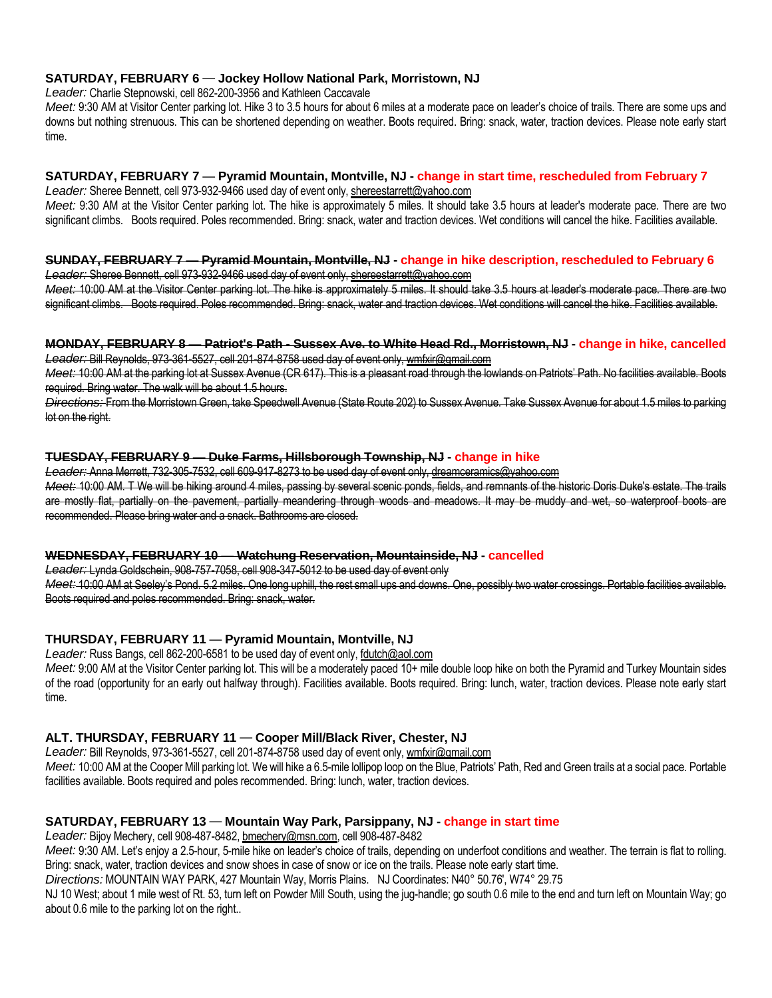# **SATURDAY, FEBRUARY 6** *—* **Jockey Hollow National Park, Morristown, NJ**

*Leader:* Charlie Stepnowski, cell 862-200-3956 and Kathleen Caccavale

*Meet:* 9:30 AM at Visitor Center parking lot. Hike 3 to 3.5 hours for about 6 miles at a moderate pace on leader's choice of trails. There are some ups and downs but nothing strenuous. This can be shortened depending on weather. Boots required. Bring: snack, water, traction devices. Please note early start time.

# **SATURDAY, FEBRUARY 7** *—* **Pyramid Mountain, Montville, NJ - change in start time, rescheduled from February 7**

Leader: Sheree Bennett, cell 973-932-9466 used day of event only, shereestarrett@yahoo.com *Meet:* 9:30 AM at the Visitor Center parking lot. The hike is approximately 5 miles. It should take 3.5 hours at leader's moderate pace. There are two significant climbs. Boots required. Poles recommended. Bring: snack, water and traction devices. Wet conditions will cancel the hike. Facilities available.

# **SUNDAY, FEBRUARY 7** *—* **Pyramid Mountain, Montville, NJ - change in hike description, rescheduled to February 6**

*Leader:* Sheree Bennett, cell 973-932-9466 used day of event only, shereestarrett@yahoo.com *Meet:* 10:00 AM at the Visitor Center parking lot. The hike is approximately 5 miles. It should take 3.5 hours at leader's moderate pace. There are two significant climbs. Boots required. Poles recommended. Bring: snack, water and traction devices. Wet conditions will cancel the hike. Facilities available.

#### **MONDAY, FEBRUARY 8** *—* **Patriot's Path - Sussex Ave. to White Head Rd., Morristown, NJ - change in hike, cancelled** *Leader:* Bill Reynolds, 973-361-5527, cell 201-874-8758 used day of event only, wmfxir@gmail.com

*Meet:* 10:00 AM at the parking lot at Sussex Avenue (CR 617). This is a pleasant road through the lowlands on Patriots' Path. No facilities available. Boots required. Bring water. The walk will be about 1.5 hours.

*Directions:* From the Morristown Green, take Speedwell Avenue (State Route 202) to Sussex Avenue. Take Sussex Avenue for about 1.5 miles to parking lot on the right.

# **TUESDAY, FEBRUARY 9** *—* **Duke Farms, Hillsborough Township, NJ - change in hike**

*Leader:* Anna Merrett, 732-305-7532, cell 609-917-8273 to be used day of event only, dreamceramics@yahoo.com *Meet:* 10:00 AM. T We will be hiking around 4 miles, passing by several scenic ponds, fields, and remnants of the historic Doris Duke's estate. The trails are mostly flat, partially on the pavement, partially meandering through woods and meadows. It may be muddy and wet, so waterproof boots are recommended. Please bring water and a snack. Bathrooms are closed.

#### **WEDNESDAY, FEBRUARY 10** *—* **Watchung Reservation, Mountainside, NJ - cancelled**

*Leader:* Lynda Goldschein, 908-757-7058, cell 908-347-5012 to be used day of event only *Meet:* 10:00 AM at Seeley's Pond. 5.2 miles. One long uphill, the rest small ups and downs. One, possibly two water crossings. Portable facilities available. Boots required and poles recommended. Bring: snack, water.

# **THURSDAY, FEBRUARY 11** *—* **Pyramid Mountain, Montville, NJ**

*Leader:* Russ Bangs, cell 862-200-6581 to be used day of event only, fdutch@aol.com

*Meet:* 9:00 AM at the Visitor Center parking lot. This will be a moderately paced 10+ mile double loop hike on both the Pyramid and Turkey Mountain sides of the road (opportunity for an early out halfway through). Facilities available. Boots required. Bring: lunch, water, traction devices. Please note early start time.

# **ALT. THURSDAY, FEBRUARY 11** *—* **Cooper Mill/Black River, Chester, NJ**

Leader: Bill Reynolds, 973-361-5527, cell 201-874-8758 used day of event only, wmfxir@gmail.com

*Meet:* 10:00 AM at the Cooper Mill parking lot. We will hike a 6.5-mile lollipop loop on the Blue, Patriots' Path, Red and Green trails at a social pace. Portable facilities available. Boots required and poles recommended. Bring: lunch, water, traction devices.

# **SATURDAY, FEBRUARY 13** *—* **Mountain Way Park, Parsippany, NJ - change in start time**

*Leader:* Bijoy Mechery, cell 908-487-8482, bmechery@msn.com, cell 908-487-8482

*Meet:* 9:30 AM. Let's enjoy a 2.5-hour, 5-mile hike on leader's choice of trails, depending on underfoot conditions and weather. The terrain is flat to rolling. Bring: snack, water, traction devices and snow shoes in case of snow or ice on the trails. Please note early start time.

*Directions:* MOUNTAIN WAY PARK, 427 Mountain Way, Morris Plains. NJ Coordinates: N40° 50.76', W74° 29.75

NJ 10 West; about 1 mile west of Rt. 53, turn left on Powder Mill South, using the jug-handle; go south 0.6 mile to the end and turn left on Mountain Way; go about 0.6 mile to the parking lot on the right..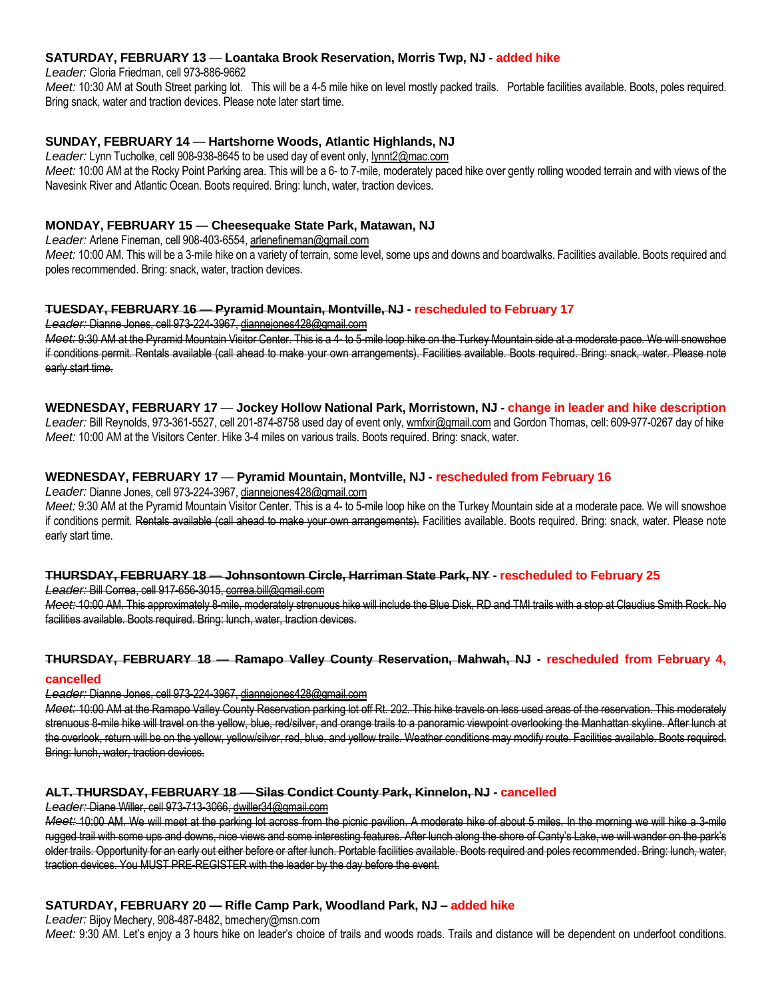### **SATURDAY, FEBRUARY 13** *—* **Loantaka Brook Reservation, Morris Twp, NJ - added hike**

*Leader:* Gloria Friedman, cell 973-886-9662

*Meet:* 10:30 AM at South Street parking lot. This will be a 4-5 mile hike on level mostly packed trails. Portable facilities available. Boots, poles required. Bring snack, water and traction devices. Please note later start time.

## **SUNDAY, FEBRUARY 14** *—* **Hartshorne Woods, Atlantic Highlands, NJ**

*Leader:* Lynn Tucholke, cell 908-938-8645 to be used day of event only, lynnt2@mac.com Meet: 10:00 AM at the Rocky Point Parking area. This will be a 6- to 7-mile, moderately paced hike over gently rolling wooded terrain and with views of the Navesink River and Atlantic Ocean. Boots required. Bring: lunch, water, traction devices.

# **MONDAY, FEBRUARY 15** *—* **Cheesequake State Park, Matawan, NJ**

*Leader:* Arlene Fineman, cell 908-403-6554, arlenefineman@gmail.com

Meet: 10:00 AM. This will be a 3-mile hike on a variety of terrain, some level, some ups and downs and boardwalks. Facilities available. Boots required and poles recommended. Bring: snack, water, traction devices.

#### **TUESDAY, FEBRUARY 16** *—* **Pyramid Mountain, Montville, NJ - rescheduled to February 17**

*Leader:* Dianne Jones, cell 973-224-3967, diannejones428@gmail.com

*Meet:* 9:30 AM at the Pyramid Mountain Visitor Center. This is a 4- to 5-mile loop hike on the Turkey Mountain side at a moderate pace. We will snowshoe if conditions permit. Rentals available (call ahead to make your own arrangements). Facilities available. Boots required. Bring: snack, water. Please note early start time.

## **WEDNESDAY, FEBRUARY 17** *—* **Jockey Hollow National Park, Morristown, NJ - change in leader and hike description**

Leader: Bill Reynolds, 973-361-5527, cell 201-874-8758 used day of event only, wmfxir@gmail.com and Gordon Thomas, cell: 609-977-0267 day of hike *Meet:* 10:00 AM at the Visitors Center. Hike 3-4 miles on various trails. Boots required. Bring: snack, water.

## **WEDNESDAY, FEBRUARY 17** *—* **Pyramid Mountain, Montville, NJ - rescheduled from February 16**

*Leader:* Dianne Jones, cell 973-224-3967, diannejones428@gmail.com

*Meet:* 9:30 AM at the Pyramid Mountain Visitor Center. This is a 4- to 5-mile loop hike on the Turkey Mountain side at a moderate pace. We will snowshoe if conditions permit. Rentals available (call ahead to make your own arrangements). Facilities available. Boots required. Bring: snack, water. Please note early start time.

#### **THURSDAY, FEBRUARY 18** *—* **Johnsontown Circle, Harriman State Park, NY - rescheduled to February 25**

*Leader:* Bill Correa, cell 917-656-3015, correa.bill@gmail.com

*Meet:* 10:00 AM. This approximately 8-mile, moderately strenuous hike will include the Blue Disk, RD and TMI trails with a stop at Claudius Smith Rock. No facilities available. Boots required. Bring: lunch, water, traction devices.

# **THURSDAY, FEBRUARY 18** *—* **Ramapo Valley County Reservation, Mahwah, NJ - rescheduled from February 4,**

#### **cancelled**

# *Leader:* Dianne Jones, cell 973-224-3967, diannejones428@gmail.com

*Meet:* 10:00 AM at the Ramapo Valley County Reservation parking lot off Rt. 202. This hike travels on less used areas of the reservation. This moderately strenuous 8-mile hike will travel on the yellow, blue, red/silver, and orange trails to a panoramic viewpoint overlooking the Manhattan skyline. After lunch at the overlook, return will be on the yellow, yellow/silver, red, blue, and yellow trails. Weather conditions may modify route. Facilities available. Boots required. Bring: lunch, water, traction devices.

# **ALT. THURSDAY, FEBRUARY 18** *—* **Silas Condict County Park, Kinnelon, NJ - cancelled**

*Leader:* Diane Willer, cell 973-713-3066, dwiller34@gmail.com

*Meet:* 10:00 AM. We will meet at the parking lot across from the picnic pavilion. A moderate hike of about 5 miles. In the morning we will hike a 3-mile rugged trail with some ups and downs, nice views and some interesting features. After lunch along the shore of Canty's Lake, we will wander on the park's older trails. Opportunity for an early out either before or after lunch. Portable facilities available. Boots required and poles recommended. Bring: lunch, water, traction devices. You MUST PRE-REGISTER with the leader by the day before the event.

# **SATURDAY, FEBRUARY 20 — Rifle Camp Park, Woodland Park, NJ – added hike**

*Leader:* Bijoy Mechery, 908-487-8482, bmechery@msn.com

*Meet:* 9:30 AM. Let's enjoy a 3 hours hike on leader's choice of trails and woods roads. Trails and distance will be dependent on underfoot conditions.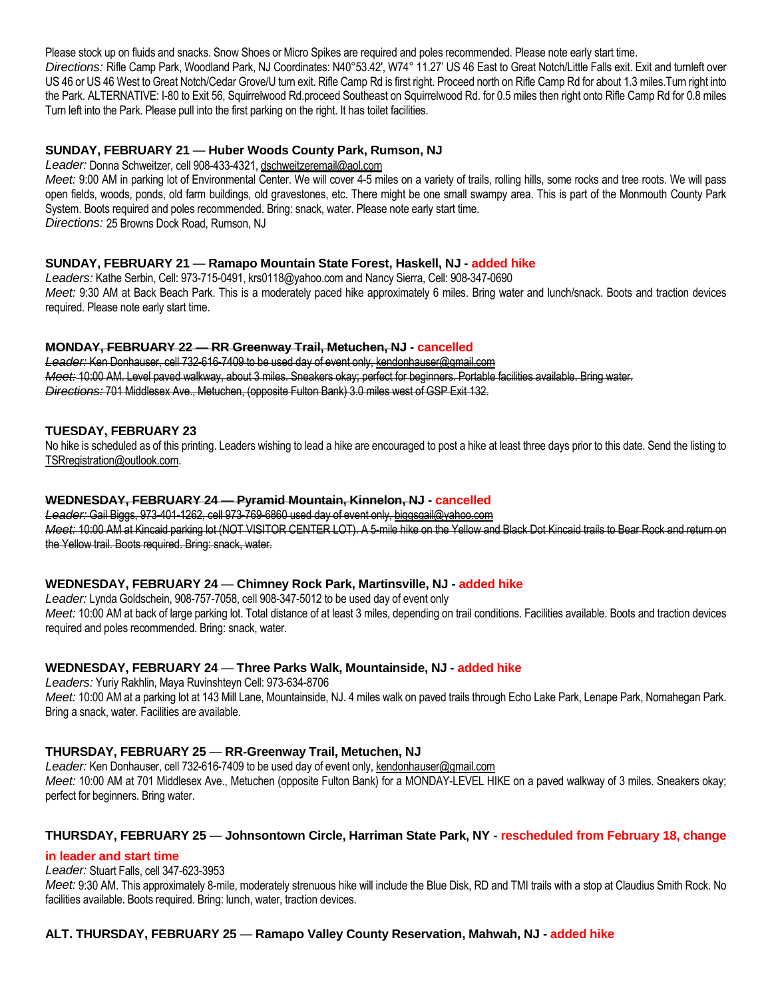Please stock up on fluids and snacks. Snow Shoes or Micro Spikes are required and poles recommended. Please note early start time. *Directions:* Rifle Camp Park, Woodland Park, NJ Coordinates: N40°53.42', W74° 11.27' US 46 East to Great Notch/Little Falls exit. Exit and turnleft over US 46 or US 46 West to Great Notch/Cedar Grove/U turn exit. Rifle Camp Rd is first right. Proceed north on Rifle Camp Rd for about 1.3 miles.Turn right into the Park. ALTERNATIVE: I-80 to Exit 56, Squirrelwood Rd.proceed Southeast on Squirrelwood Rd. for 0.5 miles then right onto Rifle Camp Rd for 0.8 miles Turn left into the Park. Please pull into the first parking on the right. It has toilet facilities.

# **SUNDAY, FEBRUARY 21** *—* **Huber Woods County Park, Rumson, NJ**

*Leader:* Donna Schweitzer, cell 908-433-4321, dschweitzeremail@aol.com

*Meet:* 9:00 AM in parking lot of Environmental Center. We will cover 4-5 miles on a variety of trails, rolling hills, some rocks and tree roots. We will pass open fields, woods, ponds, old farm buildings, old gravestones, etc. There might be one small swampy area. This is part of the Monmouth County Park System. Boots required and poles recommended. Bring: snack, water. Please note early start time. *Directions:* 25 Browns Dock Road, Rumson, NJ

## **SUNDAY, FEBRUARY 21** *—* **Ramapo Mountain State Forest, Haskell, NJ - added hike**

*Leaders:* Kathe Serbin, Cell: 973-715-0491, krs0118@yahoo.com and Nancy Sierra, Cell: 908-347-0690 *Meet:* 9:30 AM at Back Beach Park. This is a moderately paced hike approximately 6 miles. Bring water and lunch/snack. Boots and traction devices required. Please note early start time.

#### **MONDAY, FEBRUARY 22** *—* **RR Greenway Trail, Metuchen, NJ - cancelled**

*Leader:* Ken Donhauser, cell 732-616-7409 to be used day of event only, kendonhauser@gmail.com *Meet:* 10:00 AM. Level paved walkway, about 3 miles. Sneakers okay; perfect for beginners. Portable facilities available. Bring water. *Directions:* 701 Middlesex Ave., Metuchen, (opposite Fulton Bank) 3.0 miles west of GSP Exit 132.

## **TUESDAY, FEBRUARY 23**

No hike is scheduled as of this printing. Leaders wishing to lead a hike are encouraged to post a hike at least three days prior to this date. Send the listing to TSRregistration@outlook.com.

#### **WEDNESDAY, FEBRUARY 24** *—* **Pyramid Mountain, Kinnelon, NJ - cancelled**

*Leader:* Gail Biggs, 973-401-1262, cell 973-769-6860 used day of event only, biggsgail@yahoo.com *Meet:* 10:00 AM at Kincaid parking lot (NOT VISITOR CENTER LOT). A 5-mile hike on the Yellow and Black Dot Kincaid trails to Bear Rock and return on the Yellow trail. Boots required. Bring: snack, water.

#### **WEDNESDAY, FEBRUARY 24** *—* **Chimney Rock Park, Martinsville, NJ - added hike**

*Leader:* Lynda Goldschein, 908-757-7058, cell 908-347-5012 to be used day of event only

*Meet:* 10:00 AM at back of large parking lot. Total distance of at least 3 miles, depending on trail conditions. Facilities available. Boots and traction devices required and poles recommended. Bring: snack, water.

# **WEDNESDAY, FEBRUARY 24** *—* **Three Parks Walk, Mountainside, NJ - added hike**

*Leaders:* Yuriy Rakhlin, Maya Ruvinshteyn Cell: 973-634-8706

*Meet:* 10:00 AM at a parking lot at 143 Mill Lane, Mountainside, NJ. 4 miles walk on paved trails through Echo Lake Park, Lenape Park, Nomahegan Park. Bring a snack, water. Facilities are available.

# **THURSDAY, FEBRUARY 25** *—* **RR-Greenway Trail, Metuchen, NJ**

Leader: Ken Donhauser, cell 732-616-7409 to be used day of event only, kendonhauser@gmail.com *Meet:* 10:00 AM at 701 Middlesex Ave., Metuchen (opposite Fulton Bank) for a MONDAY-LEVEL HIKE on a paved walkway of 3 miles. Sneakers okay; perfect for beginners. Bring water.

# **THURSDAY, FEBRUARY 25** *—* **Johnsontown Circle, Harriman State Park, NY - rescheduled from February 18, change**

# **in leader and start time**

#### *Leader:* Stuart Falls, cell 347-623-3953

*Meet:* 9:30 AM. This approximately 8-mile, moderately strenuous hike will include the Blue Disk, RD and TMI trails with a stop at Claudius Smith Rock. No facilities available. Boots required. Bring: lunch, water, traction devices.

# **ALT. THURSDAY, FEBRUARY 25** *—* **Ramapo Valley County Reservation, Mahwah, NJ - added hike**